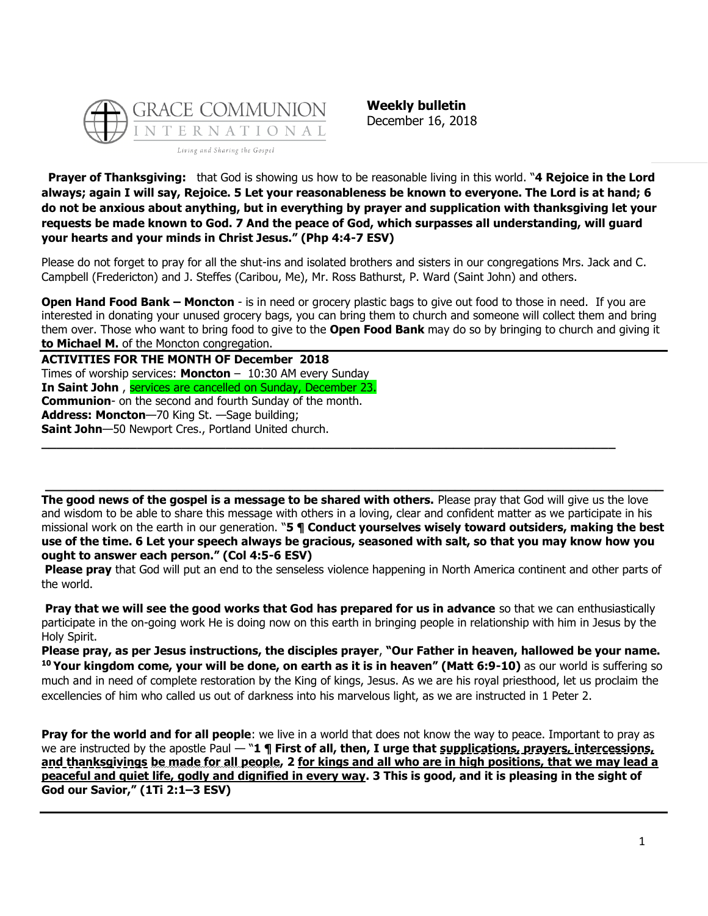

**Weekly bulletin** December 16, 2018

**Prayer of Thanksgiving:** that God is showing us how to be reasonable living in this world. "**4 Rejoice in the Lord always; again I will say, Rejoice. 5 Let your reasonableness be known to everyone. The Lord is at hand; 6 do not be anxious about anything, but in everything by prayer and supplication with thanksgiving let your requests be made known to God. 7 And the peace of God, which surpasses all understanding, will guard your hearts and your minds in Christ Jesus." (Php 4:4-7 ESV)**

Please do not forget to pray for all the shut-ins and isolated brothers and sisters in our congregations Mrs. Jack and C. Campbell (Fredericton) and J. Steffes (Caribou, Me), Mr. Ross Bathurst, P. Ward (Saint John) and others.

**Open Hand Food Bank – Moncton** - is in need or grocery plastic bags to give out food to those in need. If you are interested in donating your unused grocery bags, you can bring them to church and someone will collect them and bring them over. Those who want to bring food to give to the **Open Food Bank** may do so by bringing to church and giving it **to Michael M.** of the Moncton congregation.

**ACTIVITIES FOR THE MONTH OF December 2018** Times of worship services: **Moncton** – 10:30 AM every Sunday **In Saint John** , services are cancelled on Sunday, December 23. **Communion**- on the second and fourth Sunday of the month. **Address: Moncton**—70 King St. —Sage building; **Saint John**—50 Newport Cres., Portland United church. **\_\_\_\_\_\_\_\_\_\_\_\_\_\_\_\_\_\_\_\_\_\_\_\_\_\_\_\_\_\_\_\_\_\_\_\_\_\_\_\_\_\_\_\_\_\_\_\_\_\_\_\_\_\_\_\_\_\_\_\_\_\_\_\_\_\_\_\_\_\_\_\_\_\_\_\_\_\_**

**The good news of the gospel is a message to be shared with others.** Please pray that God will give us the love and wisdom to be able to share this message with others in a loving, clear and confident matter as we participate in his missional work on the earth in our generation. "**5 ¶ Conduct yourselves wisely toward outsiders, making the best use of the time. 6 Let your speech always be gracious, seasoned with salt, so that you may know how you ought to answer each person." (Col 4:5-6 ESV)**

**\_\_\_\_\_\_\_\_\_\_\_\_\_\_\_\_\_\_\_\_\_\_\_\_\_\_\_\_\_\_\_\_\_\_\_\_\_\_\_\_\_\_\_\_\_\_\_\_\_\_\_\_\_\_\_\_\_\_\_\_\_\_\_\_\_\_\_\_\_\_\_\_\_\_\_\_\_\_\_\_**

**Please pray** that God will put an end to the senseless violence happening in North America continent and other parts of the world.

**Pray that we will see the good works that God has prepared for us in advance** so that we can enthusiastically participate in the on-going work He is doing now on this earth in bringing people in relationship with him in Jesus by the Holy Spirit.

**Please pray, as per Jesus instructions, the disciples prayer**, **"Our Father in heaven, hallowed be your name. <sup>10</sup> Your kingdom come, your will be done, on earth as it is in heaven" (Matt 6:9-10)** as our world is suffering so much and in need of complete restoration by the King of kings, Jesus. As we are his royal priesthood, let us proclaim the excellencies of him who called us out of darkness into his marvelous light, as we are instructed in 1 Peter 2.

**Pray for the world and for all people**: we live in a world that does not know the way to peace. Important to pray as we are instructed by the apostle Paul — "**1 ¶ First of all, then, I urge that supplications, prayers, intercessions, and thanksgivings be made for all people, 2 for kings and all who are in high positions, that we may lead a peaceful and quiet life, godly and dignified in every way. 3 This is good, and it is pleasing in the sight of God our Savior," (1Ti 2:1–3 ESV)**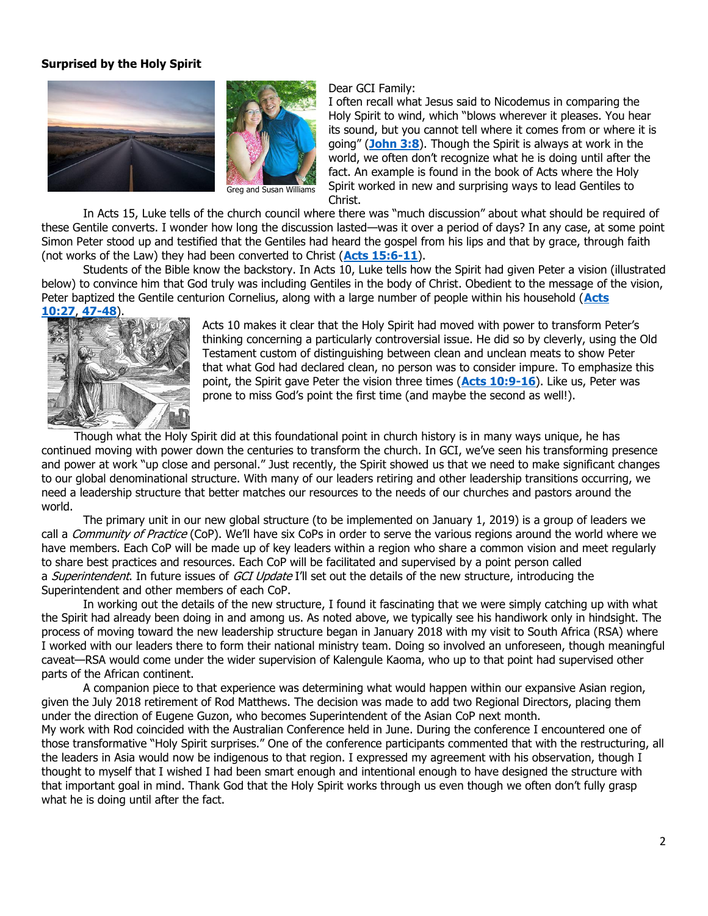## **Surprised by the Holy Spirit**



Greg and Susan Williams

## Dear GCI Family:

I often recall what Jesus said to Nicodemus in comparing the Holy Spirit to wind, which "blows wherever it pleases. You hear its sound, but you cannot tell where it comes from or where it is going" (**[John 3:8](https://biblia.com/bible/niv/John%203.8)**). Though the Spirit is always at work in the world, we often don't recognize what he is doing until after the fact. An example is found in the book of Acts where the Holy Spirit worked in new and surprising ways to lead Gentiles to Christ.

In Acts 15, Luke tells of the church council where there was "much discussion" about what should be required of these Gentile converts. I wonder how long the discussion lasted—was it over a period of days? In any case, at some point Simon Peter stood up and testified that the Gentiles had heard the gospel from his lips and that by grace, through faith (not works of the Law) they had been converted to Christ (**[Acts 15:6-11](https://biblia.com/bible/niv/Acts%2015.6-11)**).

Students of the Bible know the backstory. In Acts 10, Luke tells how the Spirit had given Peter a vision (illustrated below) to convince him that God truly was including Gentiles in the body of Christ. Obedient to the message of the vision, Peter baptized the Gentile centurion Cornelius, along with a large number of people within his household (**[Acts](https://biblia.com/bible/niv/Acts%2010.27)  [10:27](https://biblia.com/bible/niv/Acts%2010.27)**, **[47-48](https://biblia.com/bible/niv/Acts%2010.47-48)**).



Acts 10 makes it clear that the Holy Spirit had moved with power to transform Peter's thinking concerning a particularly controversial issue. He did so by cleverly, using the Old Testament custom of distinguishing between clean and unclean meats to show Peter that what God had declared clean, no person was to consider impure. To emphasize this point, the Spirit gave Peter the vision three times (**[Acts 10:9-16](https://biblia.com/bible/niv/Acts%2010.9-16)**). Like us, Peter was prone to miss God's point the first time (and maybe the second as well!).

 Though what the Holy Spirit did at this foundational point in church history is in many ways unique, he has continued moving with power down the centuries to transform the church. In GCI, we've seen his transforming presence and power at work "up close and personal." Just recently, the Spirit showed us that we need to make significant changes to our global denominational structure. With many of our leaders retiring and other leadership transitions occurring, we need a leadership structure that better matches our resources to the needs of our churches and pastors around the world.

The primary unit in our new global structure (to be implemented on January 1, 2019) is a group of leaders we call a *Community of Practice* (CoP). We'll have six CoPs in order to serve the various regions around the world where we have members. Each CoP will be made up of key leaders within a region who share a common vision and meet regularly to share best practices and resources. Each CoP will be facilitated and supervised by a point person called a *Superintendent*. In future issues of GCI Update I'll set out the details of the new structure, introducing the Superintendent and other members of each CoP.

In working out the details of the new structure, I found it fascinating that we were simply catching up with what the Spirit had already been doing in and among us. As noted above, we typically see his handiwork only in hindsight. The process of moving toward the new leadership structure began in January 2018 with my visit to South Africa (RSA) where I worked with our leaders there to form their national ministry team. Doing so involved an unforeseen, though meaningful caveat—RSA would come under the wider supervision of Kalengule Kaoma, who up to that point had supervised other parts of the African continent.

A companion piece to that experience was determining what would happen within our expansive Asian region, given the July 2018 retirement of Rod Matthews. The decision was made to add two Regional Directors, placing them under the direction of Eugene Guzon, who becomes Superintendent of the Asian CoP next month.

My work with Rod coincided with the Australian Conference held in June. During the conference I encountered one of those transformative "Holy Spirit surprises." One of the conference participants commented that with the restructuring, all the leaders in Asia would now be indigenous to that region. I expressed my agreement with his observation, though I thought to myself that I wished I had been smart enough and intentional enough to have designed the structure with that important goal in mind. Thank God that the Holy Spirit works through us even though we often don't fully grasp what he is doing until after the fact.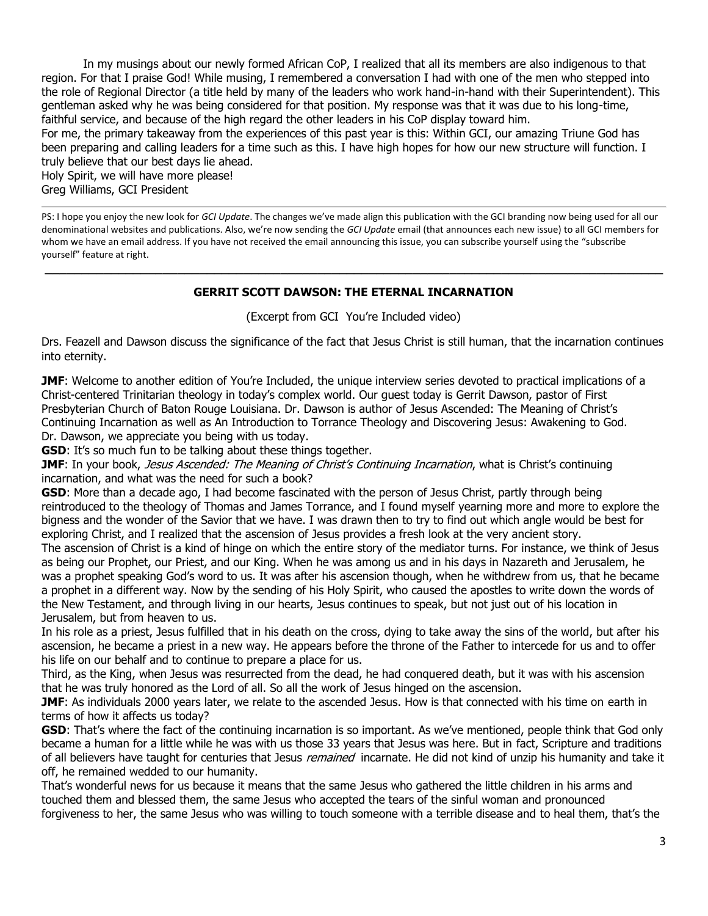In my musings about our newly formed African CoP, I realized that all its members are also indigenous to that region. For that I praise God! While musing, I remembered a conversation I had with one of the men who stepped into the role of Regional Director (a title held by many of the leaders who work hand-in-hand with their Superintendent). This gentleman asked why he was being considered for that position. My response was that it was due to his long-time, faithful service, and because of the high regard the other leaders in his CoP display toward him.

For me, the primary takeaway from the experiences of this past year is this: Within GCI, our amazing Triune God has been preparing and calling leaders for a time such as this. I have high hopes for how our new structure will function. I truly believe that our best days lie ahead.

Holy Spirit, we will have more please! Greg Williams, GCI President

PS: I hope you enjoy the new look for *GCI Update*. The changes we've made align this publication with the GCI branding now being used for all our denominational websites and publications. Also, we're now sending the *GCI Update* email (that announces each new issue) to all GCI members for whom we have an email address. If you have not received the email announcing this issue, you can subscribe yourself using the "subscribe yourself" feature at right.

## **GERRIT SCOTT DAWSON: THE ETERNAL INCARNATION**

**\_\_\_\_\_\_\_\_\_\_\_\_\_\_\_\_\_\_\_\_\_\_\_\_\_\_\_\_\_\_\_\_\_\_\_\_\_\_\_\_\_\_\_\_\_\_\_\_\_\_\_\_\_\_\_\_\_\_\_\_\_\_\_\_\_\_\_\_\_\_\_\_\_\_\_\_\_\_\_\_\_\_\_\_**

## (Excerpt from GCI You're Included video)

Drs. Feazell and Dawson discuss the significance of the fact that Jesus Christ is still human, that the incarnation continues into eternity.

**JMF**: Welcome to another edition of You're Included, the unique interview series devoted to practical implications of a Christ-centered Trinitarian theology in today's complex world. Our guest today is Gerrit Dawson, pastor of First Presbyterian Church of Baton Rouge Louisiana. Dr. Dawson is author of Jesus Ascended: The Meaning of Christ's Continuing Incarnation as well as An Introduction to Torrance Theology and Discovering Jesus: Awakening to God. Dr. Dawson, we appreciate you being with us today.

**GSD**: It's so much fun to be talking about these things together.

**JMF**: In your book, *Jesus Ascended: The Meaning of Christ's Continuing Incarnation*, what is Christ's continuing incarnation, and what was the need for such a book?

**GSD**: More than a decade ago, I had become fascinated with the person of Jesus Christ, partly through being reintroduced to the theology of Thomas and James Torrance, and I found myself yearning more and more to explore the bigness and the wonder of the Savior that we have. I was drawn then to try to find out which angle would be best for exploring Christ, and I realized that the ascension of Jesus provides a fresh look at the very ancient story.

The ascension of Christ is a kind of hinge on which the entire story of the mediator turns. For instance, we think of Jesus as being our Prophet, our Priest, and our King. When he was among us and in his days in Nazareth and Jerusalem, he was a prophet speaking God's word to us. It was after his ascension though, when he withdrew from us, that he became a prophet in a different way. Now by the sending of his Holy Spirit, who caused the apostles to write down the words of the New Testament, and through living in our hearts, Jesus continues to speak, but not just out of his location in Jerusalem, but from heaven to us.

In his role as a priest, Jesus fulfilled that in his death on the cross, dying to take away the sins of the world, but after his ascension, he became a priest in a new way. He appears before the throne of the Father to intercede for us and to offer his life on our behalf and to continue to prepare a place for us.

Third, as the King, when Jesus was resurrected from the dead, he had conquered death, but it was with his ascension that he was truly honored as the Lord of all. So all the work of Jesus hinged on the ascension.

**JMF**: As individuals 2000 years later, we relate to the ascended Jesus. How is that connected with his time on earth in terms of how it affects us today?

**GSD**: That's where the fact of the continuing incarnation is so important. As we've mentioned, people think that God only became a human for a little while he was with us those 33 years that Jesus was here. But in fact, Scripture and traditions of all believers have taught for centuries that Jesus remained incarnate. He did not kind of unzip his humanity and take it off, he remained wedded to our humanity.

That's wonderful news for us because it means that the same Jesus who gathered the little children in his arms and touched them and blessed them, the same Jesus who accepted the tears of the sinful woman and pronounced forgiveness to her, the same Jesus who was willing to touch someone with a terrible disease and to heal them, that's the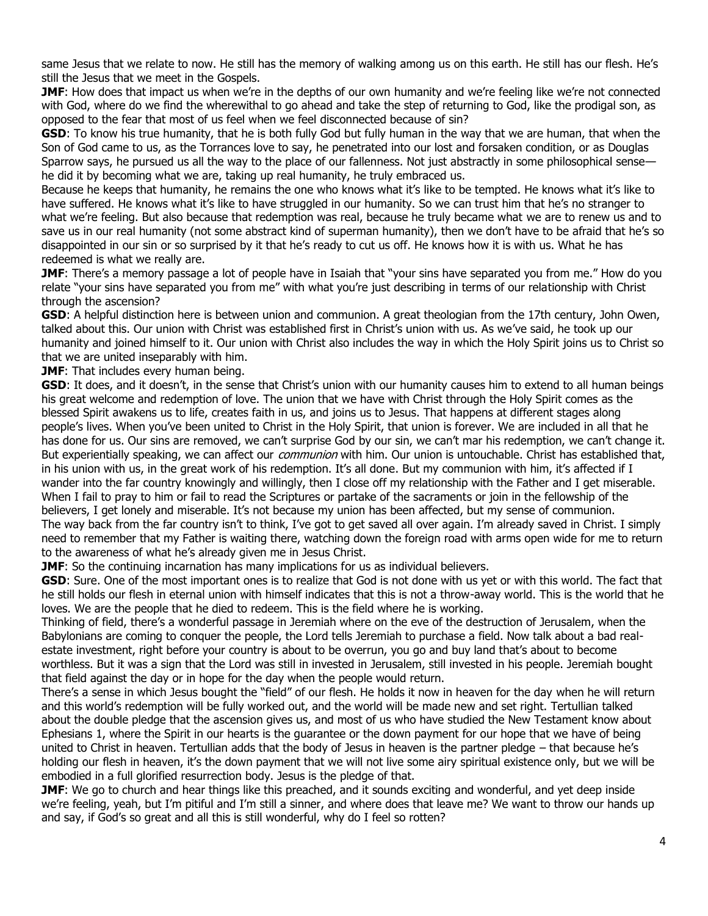same Jesus that we relate to now. He still has the memory of walking among us on this earth. He still has our flesh. He's still the Jesus that we meet in the Gospels.

**JMF**: How does that impact us when we're in the depths of our own humanity and we're feeling like we're not connected with God, where do we find the wherewithal to go ahead and take the step of returning to God, like the prodigal son, as opposed to the fear that most of us feel when we feel disconnected because of sin?

**GSD**: To know his true humanity, that he is both fully God but fully human in the way that we are human, that when the Son of God came to us, as the Torrances love to say, he penetrated into our lost and forsaken condition, or as Douglas Sparrow says, he pursued us all the way to the place of our fallenness. Not just abstractly in some philosophical sense he did it by becoming what we are, taking up real humanity, he truly embraced us.

Because he keeps that humanity, he remains the one who knows what it's like to be tempted. He knows what it's like to have suffered. He knows what it's like to have struggled in our humanity. So we can trust him that he's no stranger to what we're feeling. But also because that redemption was real, because he truly became what we are to renew us and to save us in our real humanity (not some abstract kind of superman humanity), then we don't have to be afraid that he's so disappointed in our sin or so surprised by it that he's ready to cut us off. He knows how it is with us. What he has redeemed is what we really are.

**JMF**: There's a memory passage a lot of people have in Isaiah that "your sins have separated you from me." How do you relate "your sins have separated you from me" with what you're just describing in terms of our relationship with Christ through the ascension?

**GSD**: A helpful distinction here is between union and communion. A great theologian from the 17th century, John Owen, talked about this. Our union with Christ was established first in Christ's union with us. As we've said, he took up our humanity and joined himself to it. Our union with Christ also includes the way in which the Holy Spirit joins us to Christ so that we are united inseparably with him.

**JMF:** That includes every human being.

**GSD**: It does, and it doesn't, in the sense that Christ's union with our humanity causes him to extend to all human beings his great welcome and redemption of love. The union that we have with Christ through the Holy Spirit comes as the blessed Spirit awakens us to life, creates faith in us, and joins us to Jesus. That happens at different stages along people's lives. When you've been united to Christ in the Holy Spirit, that union is forever. We are included in all that he has done for us. Our sins are removed, we can't surprise God by our sin, we can't mar his redemption, we can't change it. But experientially speaking, we can affect our communion with him. Our union is untouchable. Christ has established that, in his union with us, in the great work of his redemption. It's all done. But my communion with him, it's affected if I wander into the far country knowingly and willingly, then I close off my relationship with the Father and I get miserable. When I fail to pray to him or fail to read the Scriptures or partake of the sacraments or join in the fellowship of the believers, I get lonely and miserable. It's not because my union has been affected, but my sense of communion. The way back from the far country isn't to think, I've got to get saved all over again. I'm already saved in Christ. I simply need to remember that my Father is waiting there, watching down the foreign road with arms open wide for me to return to the awareness of what he's already given me in Jesus Christ.

**JMF**: So the continuing incarnation has many implications for us as individual believers.

**GSD**: Sure. One of the most important ones is to realize that God is not done with us yet or with this world. The fact that he still holds our flesh in eternal union with himself indicates that this is not a throw-away world. This is the world that he loves. We are the people that he died to redeem. This is the field where he is working.

Thinking of field, there's a wonderful passage in Jeremiah where on the eve of the destruction of Jerusalem, when the Babylonians are coming to conquer the people, the Lord tells Jeremiah to purchase a field. Now talk about a bad realestate investment, right before your country is about to be overrun, you go and buy land that's about to become worthless. But it was a sign that the Lord was still in invested in Jerusalem, still invested in his people. Jeremiah bought that field against the day or in hope for the day when the people would return.

There's a sense in which Jesus bought the "field" of our flesh. He holds it now in heaven for the day when he will return and this world's redemption will be fully worked out, and the world will be made new and set right. Tertullian talked about the double pledge that the ascension gives us, and most of us who have studied the New Testament know about Ephesians 1, where the Spirit in our hearts is the guarantee or the down payment for our hope that we have of being united to Christ in heaven. Tertullian adds that the body of Jesus in heaven is the partner pledge – that because he's holding our flesh in heaven, it's the down payment that we will not live some airy spiritual existence only, but we will be embodied in a full glorified resurrection body. Jesus is the pledge of that.

**JMF**: We go to church and hear things like this preached, and it sounds exciting and wonderful, and yet deep inside we're feeling, yeah, but I'm pitiful and I'm still a sinner, and where does that leave me? We want to throw our hands up and say, if God's so great and all this is still wonderful, why do I feel so rotten?